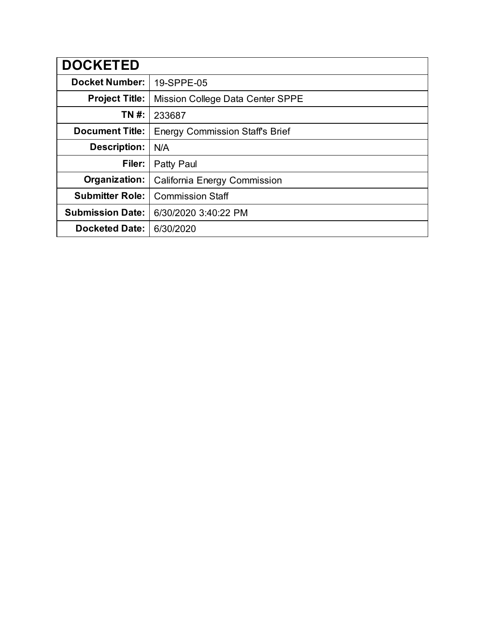| <b>DOCKETED</b>         |                                        |
|-------------------------|----------------------------------------|
| <b>Docket Number:</b>   | 19-SPPE-05                             |
| <b>Project Title:</b>   | Mission College Data Center SPPE       |
| TN #:                   | 233687                                 |
| <b>Document Title:</b>  | <b>Energy Commission Staff's Brief</b> |
| <b>Description:</b>     | N/A                                    |
| Filer:                  | Patty Paul                             |
| Organization:           | California Energy Commission           |
| <b>Submitter Role:</b>  | <b>Commission Staff</b>                |
| <b>Submission Date:</b> | 6/30/2020 3:40:22 PM                   |
| <b>Docketed Date:</b>   | 6/30/2020                              |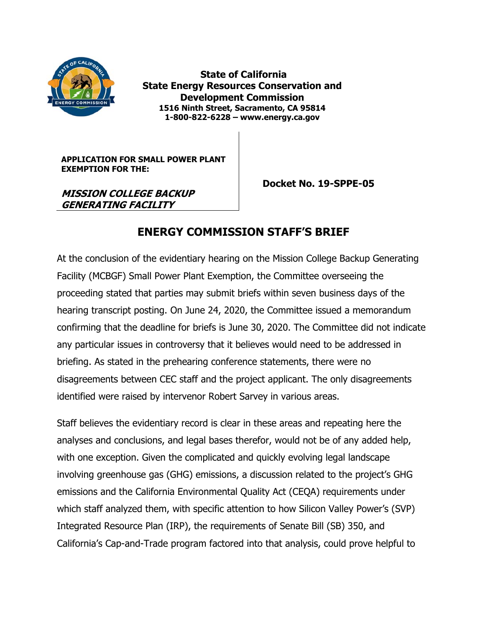

 **State of California State Energy Resources Conservation and Development Commission 1516 Ninth Street, Sacramento, CA 95814 1-800-822-6228 – www.energy.ca.gov** 

**APPLICATION FOR SMALL POWER PLANT EXEMPTION FOR THE:** 

 **Docket No. 19-SPPE-05** 

### **MISSION COLLEGE BACKUP GENERATING FACILITY**

# **ENERGY COMMISSION STAFF'S BRIEF**

At the conclusion of the evidentiary hearing on the Mission College Backup Generating Facility (MCBGF) Small Power Plant Exemption, the Committee overseeing the proceeding stated that parties may submit briefs within seven business days of the hearing transcript posting. On June 24, 2020, the Committee issued a memorandum confirming that the deadline for briefs is June 30, 2020. The Committee did not indicate any particular issues in controversy that it believes would need to be addressed in briefing. As stated in the prehearing conference statements, there were no disagreements between CEC staff and the project applicant. The only disagreements identified were raised by intervenor Robert Sarvey in various areas.

Staff believes the evidentiary record is clear in these areas and repeating here the analyses and conclusions, and legal bases therefor, would not be of any added help, with one exception. Given the complicated and quickly evolving legal landscape involving greenhouse gas (GHG) emissions, a discussion related to the project's GHG emissions and the California Environmental Quality Act (CEQA) requirements under which staff analyzed them, with specific attention to how Silicon Valley Power's (SVP) Integrated Resource Plan (IRP), the requirements of Senate Bill (SB) 350, and California's Cap-and-Trade program factored into that analysis, could prove helpful to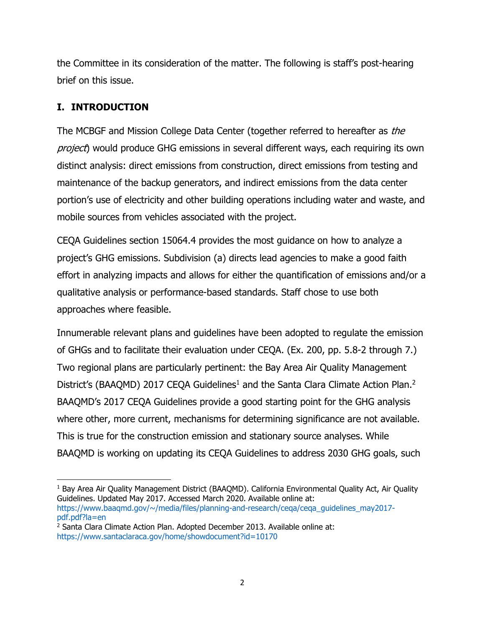the Committee in its consideration of the matter. The following is staff's post-hearing brief on this issue.

# **I. INTRODUCTION**

The MCBGF and Mission College Data Center (together referred to hereafter as the project) would produce GHG emissions in several different ways, each requiring its own distinct analysis: direct emissions from construction, direct emissions from testing and maintenance of the backup generators, and indirect emissions from the data center portion's use of electricity and other building operations including water and waste, and mobile sources from vehicles associated with the project.

CEQA Guidelines section 15064.4 provides the most guidance on how to analyze a project's GHG emissions. Subdivision (a) directs lead agencies to make a good faith effort in analyzing impacts and allows for either the quantification of emissions and/or a qualitative analysis or performance-based standards. Staff chose to use both approaches where feasible.

Innumerable relevant plans and guidelines have been adopted to regulate the emission of GHGs and to facilitate their evaluation under CEQA. (Ex. 200, pp. 5.8-2 through 7.) Two regional plans are particularly pertinent: the Bay Area Air Quality Management District's (BAAQMD) 2017 CEQA Guidelines<sup>1</sup> and the Santa Clara Climate Action Plan.<sup>2</sup> BAAQMD's 2017 CEQA Guidelines provide a good starting point for the GHG analysis where other, more current, mechanisms for determining significance are not available. This is true for the construction emission and stationary source analyses. While BAAQMD is working on updating its CEQA Guidelines to address 2030 GHG goals, such

 1 Bay Area Air Quality Management District (BAAQMD). California Environmental Quality Act, Air Quality Guidelines. Updated May 2017. Accessed March 2020. Available online at: https://www.baagmd.gov/~/media/files/planning-and-research/ceqa/ceqa\_guidelines\_may2017pdf.pdf?la=en

<sup>&</sup>lt;sup>2</sup> Santa Clara Climate Action Plan. Adopted December 2013. Available online at: https://www.santaclaraca.gov/home/showdocument?id=10170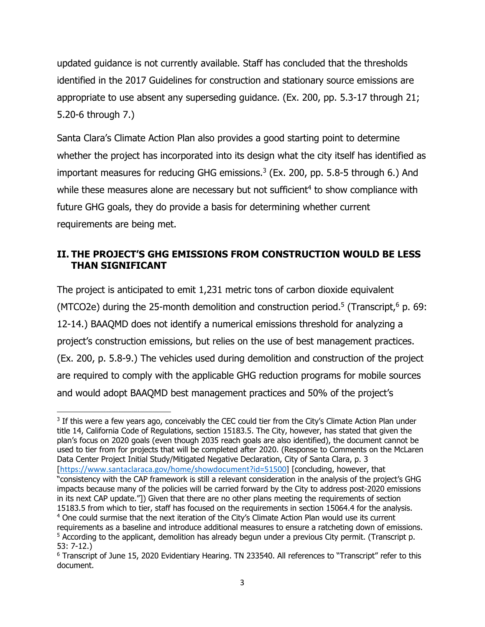updated guidance is not currently available. Staff has concluded that the thresholds identified in the 2017 Guidelines for construction and stationary source emissions are appropriate to use absent any superseding guidance. (Ex. 200, pp. 5.3-17 through 21; 5.20-6 through 7.)

Santa Clara's Climate Action Plan also provides a good starting point to determine whether the project has incorporated into its design what the city itself has identified as important measures for reducing GHG emissions.<sup>3</sup> (Ex. 200, pp. 5.8-5 through 6.) And while these measures alone are necessary but not sufficient<sup>4</sup> to show compliance with future GHG goals, they do provide a basis for determining whether current requirements are being met.

# **II. THE PROJECT'S GHG EMISSIONS FROM CONSTRUCTION WOULD BE LESS THAN SIGNIFICANT**

The project is anticipated to emit 1,231 metric tons of carbon dioxide equivalent (MTCO2e) during the 25-month demolition and construction period.<sup>5</sup> (Transcript, $6$  p. 69: 12-14.) BAAQMD does not identify a numerical emissions threshold for analyzing a project's construction emissions, but relies on the use of best management practices. (Ex. 200, p. 5.8-9.) The vehicles used during demolition and construction of the project are required to comply with the applicable GHG reduction programs for mobile sources and would adopt BAAQMD best management practices and 50% of the project's

<sup>&</sup>lt;sup>3</sup> If this were a few years ago, conceivably the CEC could tier from the City's Climate Action Plan under title 14, California Code of Regulations, section 15183.5. The City, however, has stated that given the plan's focus on 2020 goals (even though 2035 reach goals are also identified), the document cannot be used to tier from for projects that will be completed after 2020. (Response to Comments on the McLaren Data Center Project Initial Study/Mitigated Negative Declaration, City of Santa Clara, p. 3 [https://www.santaclaraca.gov/home/showdocument?id=51500] [concluding, however, that "consistency with the CAP framework is still a relevant consideration in the analysis of the project's GHG impacts because many of the policies will be carried forward by the City to address post-2020 emissions in its next CAP update."]) Given that there are no other plans meeting the requirements of section 15183.5 from which to tier, staff has focused on the requirements in section 15064.4 for the analysis. 4 One could surmise that the next iteration of the City's Climate Action Plan would use its current requirements as a baseline and introduce additional measures to ensure a ratcheting down of emissions. 5 According to the applicant, demolition has already begun under a previous City permit. (Transcript p. 53: 7-12.)

<sup>6</sup> Transcript of June 15, 2020 Evidentiary Hearing. TN 233540. All references to "Transcript" refer to this document.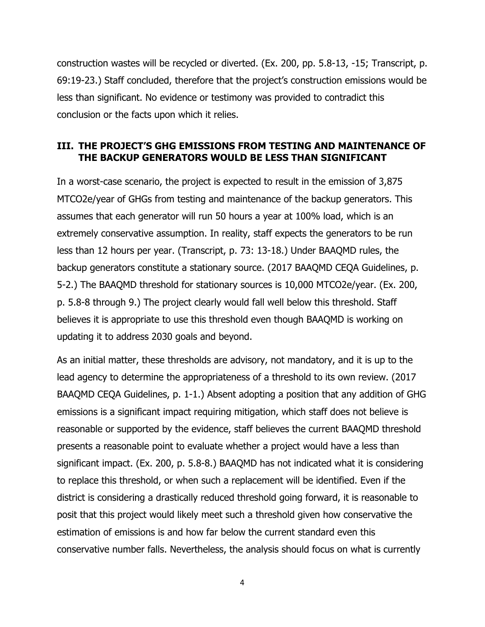construction wastes will be recycled or diverted. (Ex. 200, pp. 5.8-13, -15; Transcript, p. 69:19-23.) Staff concluded, therefore that the project's construction emissions would be less than significant. No evidence or testimony was provided to contradict this conclusion or the facts upon which it relies.

### **III. THE PROJECT'S GHG EMISSIONS FROM TESTING AND MAINTENANCE OF THE BACKUP GENERATORS WOULD BE LESS THAN SIGNIFICANT**

In a worst-case scenario, the project is expected to result in the emission of 3,875 MTCO2e/year of GHGs from testing and maintenance of the backup generators. This assumes that each generator will run 50 hours a year at 100% load, which is an extremely conservative assumption. In reality, staff expects the generators to be run less than 12 hours per year. (Transcript, p. 73: 13-18.) Under BAAQMD rules, the backup generators constitute a stationary source. (2017 BAAQMD CEQA Guidelines, p. 5-2.) The BAAQMD threshold for stationary sources is 10,000 MTCO2e/year. (Ex. 200, p. 5.8-8 through 9.) The project clearly would fall well below this threshold. Staff believes it is appropriate to use this threshold even though BAAQMD is working on updating it to address 2030 goals and beyond.

As an initial matter, these thresholds are advisory, not mandatory, and it is up to the lead agency to determine the appropriateness of a threshold to its own review. (2017 BAAQMD CEQA Guidelines, p. 1-1.) Absent adopting a position that any addition of GHG emissions is a significant impact requiring mitigation, which staff does not believe is reasonable or supported by the evidence, staff believes the current BAAQMD threshold presents a reasonable point to evaluate whether a project would have a less than significant impact. (Ex. 200, p. 5.8-8.) BAAQMD has not indicated what it is considering to replace this threshold, or when such a replacement will be identified. Even if the district is considering a drastically reduced threshold going forward, it is reasonable to posit that this project would likely meet such a threshold given how conservative the estimation of emissions is and how far below the current standard even this conservative number falls. Nevertheless, the analysis should focus on what is currently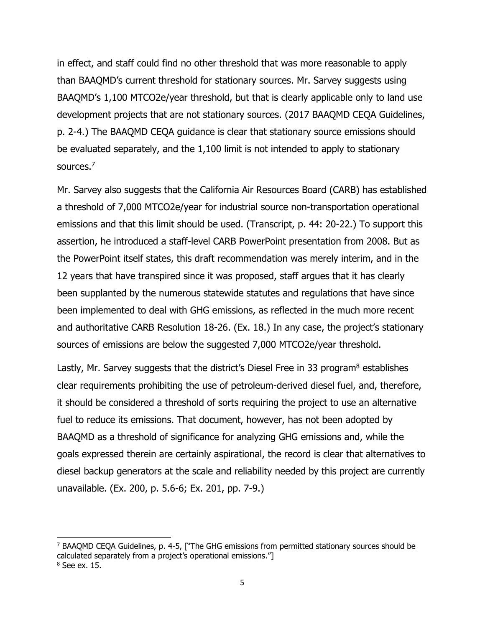in effect, and staff could find no other threshold that was more reasonable to apply than BAAQMD's current threshold for stationary sources. Mr. Sarvey suggests using BAAQMD's 1,100 MTCO2e/year threshold, but that is clearly applicable only to land use development projects that are not stationary sources. (2017 BAAQMD CEQA Guidelines, p. 2-4.) The BAAQMD CEQA guidance is clear that stationary source emissions should be evaluated separately, and the 1,100 limit is not intended to apply to stationary sources.7

Mr. Sarvey also suggests that the California Air Resources Board (CARB) has established a threshold of 7,000 MTCO2e/year for industrial source non-transportation operational emissions and that this limit should be used. (Transcript, p. 44: 20-22.) To support this assertion, he introduced a staff-level CARB PowerPoint presentation from 2008. But as the PowerPoint itself states, this draft recommendation was merely interim, and in the 12 years that have transpired since it was proposed, staff argues that it has clearly been supplanted by the numerous statewide statutes and regulations that have since been implemented to deal with GHG emissions, as reflected in the much more recent and authoritative CARB Resolution 18-26. (Ex. 18.) In any case, the project's stationary sources of emissions are below the suggested 7,000 MTCO2e/year threshold.

Lastly, Mr. Sarvey suggests that the district's Diesel Free in 33 program<sup>8</sup> establishes clear requirements prohibiting the use of petroleum-derived diesel fuel, and, therefore, it should be considered a threshold of sorts requiring the project to use an alternative fuel to reduce its emissions. That document, however, has not been adopted by BAAQMD as a threshold of significance for analyzing GHG emissions and, while the goals expressed therein are certainly aspirational, the record is clear that alternatives to diesel backup generators at the scale and reliability needed by this project are currently unavailable. (Ex. 200, p. 5.6-6; Ex. 201, pp. 7-9.)

<sup>7</sup> BAAQMD CEQA Guidelines, p. 4-5, ["The GHG emissions from permitted stationary sources should be calculated separately from a project's operational emissions."]  $8$  See ex. 15.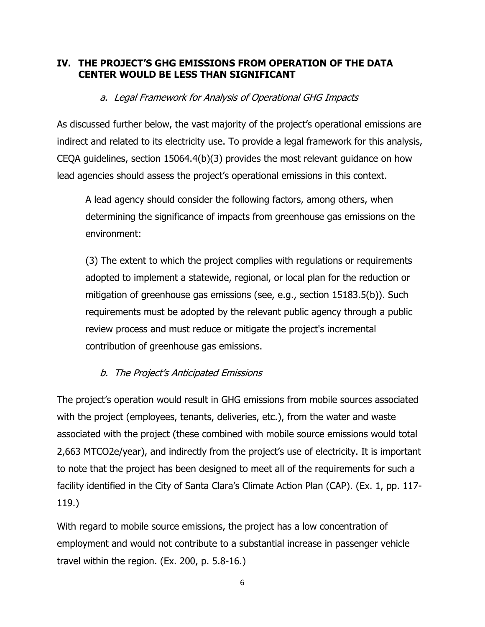### **IV. THE PROJECT'S GHG EMISSIONS FROM OPERATION OF THE DATA CENTER WOULD BE LESS THAN SIGNIFICANT**

# a. Legal Framework for Analysis of Operational GHG Impacts

As discussed further below, the vast majority of the project's operational emissions are indirect and related to its electricity use. To provide a legal framework for this analysis, CEQA guidelines, section 15064.4(b)(3) provides the most relevant guidance on how lead agencies should assess the project's operational emissions in this context.

A lead agency should consider the following factors, among others, when determining the significance of impacts from greenhouse gas emissions on the environment:

(3) The extent to which the project complies with regulations or requirements adopted to implement a statewide, regional, or local plan for the reduction or mitigation of greenhouse gas emissions (see, e.g., section 15183.5(b)). Such requirements must be adopted by the relevant public agency through a public review process and must reduce or mitigate the project's incremental contribution of greenhouse gas emissions.

# b. The Project's Anticipated Emissions

The project's operation would result in GHG emissions from mobile sources associated with the project (employees, tenants, deliveries, etc.), from the water and waste associated with the project (these combined with mobile source emissions would total 2,663 MTCO2e/year), and indirectly from the project's use of electricity. It is important to note that the project has been designed to meet all of the requirements for such a facility identified in the City of Santa Clara's Climate Action Plan (CAP). (Ex. 1, pp. 117- 119.)

With regard to mobile source emissions, the project has a low concentration of employment and would not contribute to a substantial increase in passenger vehicle travel within the region. (Ex. 200, p. 5.8-16.)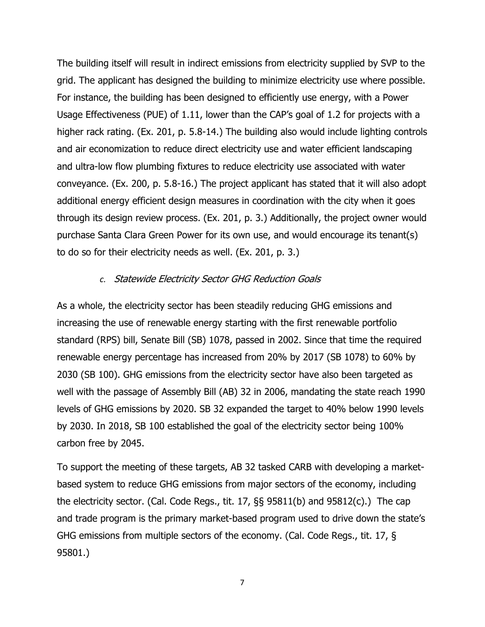The building itself will result in indirect emissions from electricity supplied by SVP to the grid. The applicant has designed the building to minimize electricity use where possible. For instance, the building has been designed to efficiently use energy, with a Power Usage Effectiveness (PUE) of 1.11, lower than the CAP's goal of 1.2 for projects with a higher rack rating. (Ex. 201, p. 5.8-14.) The building also would include lighting controls and air economization to reduce direct electricity use and water efficient landscaping and ultra-low flow plumbing fixtures to reduce electricity use associated with water conveyance. (Ex. 200, p. 5.8-16.) The project applicant has stated that it will also adopt additional energy efficient design measures in coordination with the city when it goes through its design review process. (Ex. 201, p. 3.) Additionally, the project owner would purchase Santa Clara Green Power for its own use, and would encourage its tenant(s) to do so for their electricity needs as well. (Ex. 201, p. 3.)

#### *c.* Statewide Electricity Sector GHG Reduction Goals

As a whole, the electricity sector has been steadily reducing GHG emissions and increasing the use of renewable energy starting with the first renewable portfolio standard (RPS) bill, Senate Bill (SB) 1078, passed in 2002. Since that time the required renewable energy percentage has increased from 20% by 2017 (SB 1078) to 60% by 2030 (SB 100). GHG emissions from the electricity sector have also been targeted as well with the passage of Assembly Bill (AB) 32 in 2006, mandating the state reach 1990 levels of GHG emissions by 2020. SB 32 expanded the target to 40% below 1990 levels by 2030. In 2018, SB 100 established the goal of the electricity sector being 100% carbon free by 2045.

To support the meeting of these targets, AB 32 tasked CARB with developing a marketbased system to reduce GHG emissions from major sectors of the economy, including the electricity sector. (Cal. Code Regs., tit. 17, §§ 95811(b) and 95812(c).) The cap and trade program is the primary market-based program used to drive down the state's GHG emissions from multiple sectors of the economy. (Cal. Code Regs., tit. 17, § 95801.)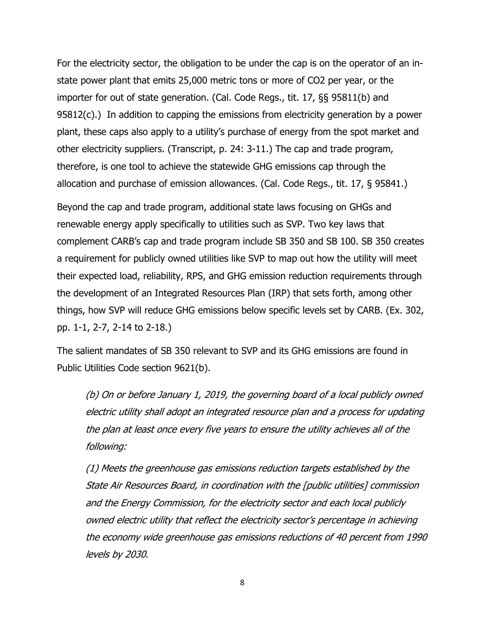For the electricity sector, the obligation to be under the cap is on the operator of an instate power plant that emits 25,000 metric tons or more of CO2 per year, or the importer for out of state generation. (Cal. Code Regs., tit. 17, §§ 95811(b) and 95812(c).) In addition to capping the emissions from electricity generation by a power plant, these caps also apply to a utility's purchase of energy from the spot market and other electricity suppliers. (Transcript, p. 24: 3-11.) The cap and trade program, therefore, is one tool to achieve the statewide GHG emissions cap through the allocation and purchase of emission allowances. (Cal. Code Regs., tit. 17, § 95841.)

Beyond the cap and trade program, additional state laws focusing on GHGs and renewable energy apply specifically to utilities such as SVP. Two key laws that complement CARB's cap and trade program include SB 350 and SB 100. SB 350 creates a requirement for publicly owned utilities like SVP to map out how the utility will meet their expected load, reliability, RPS, and GHG emission reduction requirements through the development of an Integrated Resources Plan (IRP) that sets forth, among other things, how SVP will reduce GHG emissions below specific levels set by CARB. (Ex. 302, pp. 1-1, 2-7, 2-14 to 2-18.)

The salient mandates of SB 350 relevant to SVP and its GHG emissions are found in Public Utilities Code section 9621(b).

(b) On or before January 1, 2019, the governing board of a local publicly owned electric utility shall adopt an integrated resource plan and a process for updating the plan at least once every five years to ensure the utility achieves all of the following:

(1) Meets the greenhouse gas emissions reduction targets established by the State Air Resources Board, in coordination with the [public utilities] commission and the Energy Commission, for the electricity sector and each local publicly owned electric utility that reflect the electricity sector's percentage in achieving the economy wide greenhouse gas emissions reductions of 40 percent from 1990 levels by 2030.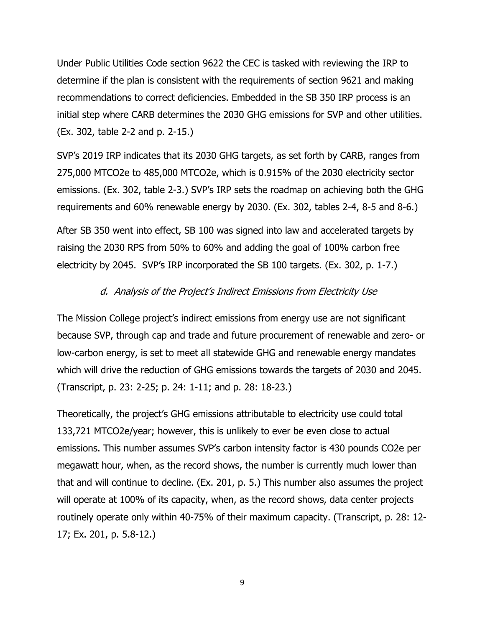Under Public Utilities Code section 9622 the CEC is tasked with reviewing the IRP to determine if the plan is consistent with the requirements of section 9621 and making recommendations to correct deficiencies. Embedded in the SB 350 IRP process is an initial step where CARB determines the 2030 GHG emissions for SVP and other utilities. (Ex. 302, table 2-2 and p. 2-15.)

SVP's 2019 IRP indicates that its 2030 GHG targets, as set forth by CARB, ranges from 275,000 MTCO2e to 485,000 MTCO2e, which is 0.915% of the 2030 electricity sector emissions. (Ex. 302, table 2-3.) SVP's IRP sets the roadmap on achieving both the GHG requirements and 60% renewable energy by 2030. (Ex. 302, tables 2-4, 8-5 and 8-6.)

After SB 350 went into effect, SB 100 was signed into law and accelerated targets by raising the 2030 RPS from 50% to 60% and adding the goal of 100% carbon free electricity by 2045. SVP's IRP incorporated the SB 100 targets. (Ex. 302, p. 1-7.)

#### d. Analysis of the Project's Indirect Emissions from Electricity Use

The Mission College project's indirect emissions from energy use are not significant because SVP, through cap and trade and future procurement of renewable and zero- or low-carbon energy, is set to meet all statewide GHG and renewable energy mandates which will drive the reduction of GHG emissions towards the targets of 2030 and 2045. (Transcript, p. 23: 2-25; p. 24: 1-11; and p. 28: 18-23.)

Theoretically, the project's GHG emissions attributable to electricity use could total 133,721 MTCO2e/year; however, this is unlikely to ever be even close to actual emissions. This number assumes SVP's carbon intensity factor is 430 pounds CO2e per megawatt hour, when, as the record shows, the number is currently much lower than that and will continue to decline. (Ex. 201, p. 5.) This number also assumes the project will operate at 100% of its capacity, when, as the record shows, data center projects routinely operate only within 40-75% of their maximum capacity. (Transcript, p. 28: 12- 17; Ex. 201, p. 5.8-12.)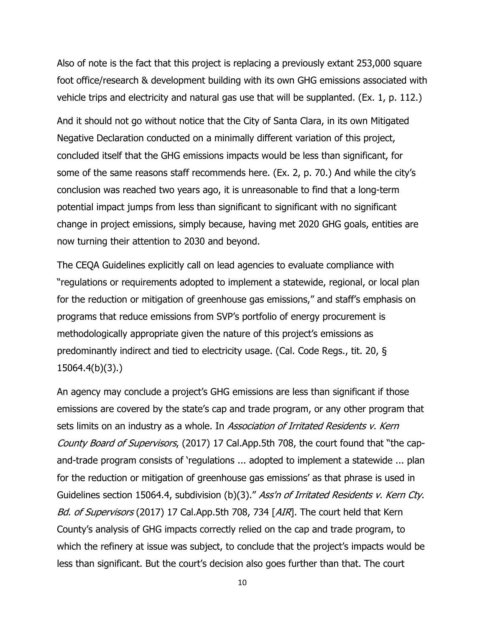Also of note is the fact that this project is replacing a previously extant 253,000 square foot office/research & development building with its own GHG emissions associated with vehicle trips and electricity and natural gas use that will be supplanted. (Ex. 1, p. 112.)

And it should not go without notice that the City of Santa Clara, in its own Mitigated Negative Declaration conducted on a minimally different variation of this project, concluded itself that the GHG emissions impacts would be less than significant, for some of the same reasons staff recommends here. (Ex. 2, p. 70.) And while the city's conclusion was reached two years ago, it is unreasonable to find that a long-term potential impact jumps from less than significant to significant with no significant change in project emissions, simply because, having met 2020 GHG goals, entities are now turning their attention to 2030 and beyond.

The CEQA Guidelines explicitly call on lead agencies to evaluate compliance with "regulations or requirements adopted to implement a statewide, regional, or local plan for the reduction or mitigation of greenhouse gas emissions," and staff's emphasis on programs that reduce emissions from SVP's portfolio of energy procurement is methodologically appropriate given the nature of this project's emissions as predominantly indirect and tied to electricity usage. (Cal. Code Regs., tit. 20, § 15064.4(b)(3).)

An agency may conclude a project's GHG emissions are less than significant if those emissions are covered by the state's cap and trade program, or any other program that sets limits on an industry as a whole. In Association of Irritated Residents v. Kern County Board of Supervisors, (2017) 17 Cal.App.5th 708, the court found that "the capand-trade program consists of 'regulations ... adopted to implement a statewide ... plan for the reduction or mitigation of greenhouse gas emissions' as that phrase is used in Guidelines section 15064.4, subdivision (b)(3)." Ass'n of Irritated Residents v. Kern Cty. Bd. of Supervisors (2017) 17 Cal.App.5th 708, 734 [AIR]. The court held that Kern County's analysis of GHG impacts correctly relied on the cap and trade program, to which the refinery at issue was subject, to conclude that the project's impacts would be less than significant. But the court's decision also goes further than that. The court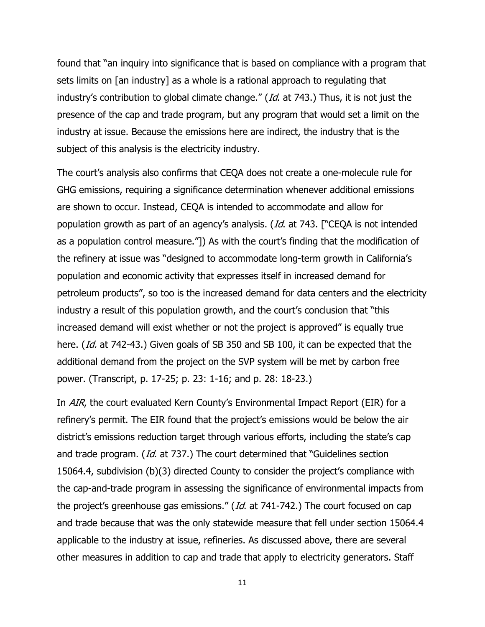found that "an inquiry into significance that is based on compliance with a program that sets limits on [an industry] as a whole is a rational approach to regulating that industry's contribution to global climate change." (Id. at 743.) Thus, it is not just the presence of the cap and trade program, but any program that would set a limit on the industry at issue. Because the emissions here are indirect, the industry that is the subject of this analysis is the electricity industry.

The court's analysis also confirms that CEQA does not create a one-molecule rule for GHG emissions, requiring a significance determination whenever additional emissions are shown to occur. Instead, CEQA is intended to accommodate and allow for population growth as part of an agency's analysis. (Id. at 743. ["CEQA is not intended as a population control measure."]) As with the court's finding that the modification of the refinery at issue was "designed to accommodate long-term growth in California's population and economic activity that expresses itself in increased demand for petroleum products", so too is the increased demand for data centers and the electricity industry a result of this population growth, and the court's conclusion that "this increased demand will exist whether or not the project is approved" is equally true here. (*Id.* at 742-43.) Given goals of SB 350 and SB 100, it can be expected that the additional demand from the project on the SVP system will be met by carbon free power. (Transcript, p. 17-25; p. 23: 1-16; and p. 28: 18-23.)

In AIR, the court evaluated Kern County's Environmental Impact Report (EIR) for a refinery's permit. The EIR found that the project's emissions would be below the air district's emissions reduction target through various efforts, including the state's cap and trade program. (Id. at 737.) The court determined that "Guidelines section 15064.4, subdivision (b)(3) directed County to consider the project's compliance with the cap-and-trade program in assessing the significance of environmental impacts from the project's greenhouse gas emissions." (Id. at 741-742.) The court focused on cap and trade because that was the only statewide measure that fell under section 15064.4 applicable to the industry at issue, refineries. As discussed above, there are several other measures in addition to cap and trade that apply to electricity generators. Staff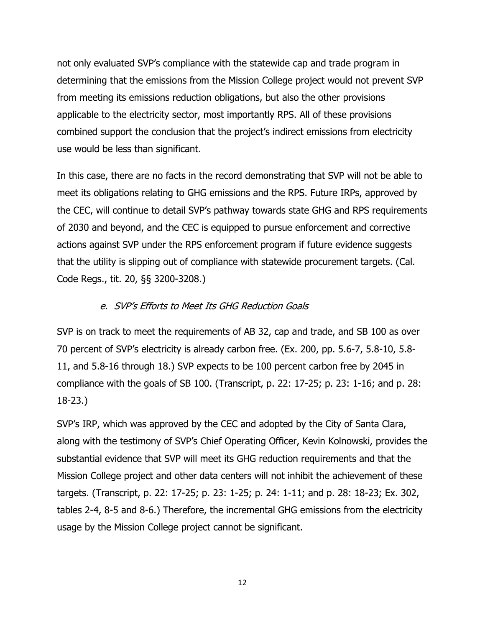not only evaluated SVP's compliance with the statewide cap and trade program in determining that the emissions from the Mission College project would not prevent SVP from meeting its emissions reduction obligations, but also the other provisions applicable to the electricity sector, most importantly RPS. All of these provisions combined support the conclusion that the project's indirect emissions from electricity use would be less than significant.

In this case, there are no facts in the record demonstrating that SVP will not be able to meet its obligations relating to GHG emissions and the RPS. Future IRPs, approved by the CEC, will continue to detail SVP's pathway towards state GHG and RPS requirements of 2030 and beyond, and the CEC is equipped to pursue enforcement and corrective actions against SVP under the RPS enforcement program if future evidence suggests that the utility is slipping out of compliance with statewide procurement targets. (Cal. Code Regs., tit. 20, §§ 3200-3208.)

#### e. SVP's Efforts to Meet Its GHG Reduction Goals

SVP is on track to meet the requirements of AB 32, cap and trade, and SB 100 as over 70 percent of SVP's electricity is already carbon free. (Ex. 200, pp. 5.6-7, 5.8-10, 5.8- 11, and 5.8-16 through 18.) SVP expects to be 100 percent carbon free by 2045 in compliance with the goals of SB 100. (Transcript, p. 22: 17-25; p. 23: 1-16; and p. 28: 18-23.)

SVP's IRP, which was approved by the CEC and adopted by the City of Santa Clara, along with the testimony of SVP's Chief Operating Officer, Kevin Kolnowski, provides the substantial evidence that SVP will meet its GHG reduction requirements and that the Mission College project and other data centers will not inhibit the achievement of these targets. (Transcript, p. 22: 17-25; p. 23: 1-25; p. 24: 1-11; and p. 28: 18-23; Ex. 302, tables 2-4, 8-5 and 8-6.) Therefore, the incremental GHG emissions from the electricity usage by the Mission College project cannot be significant.